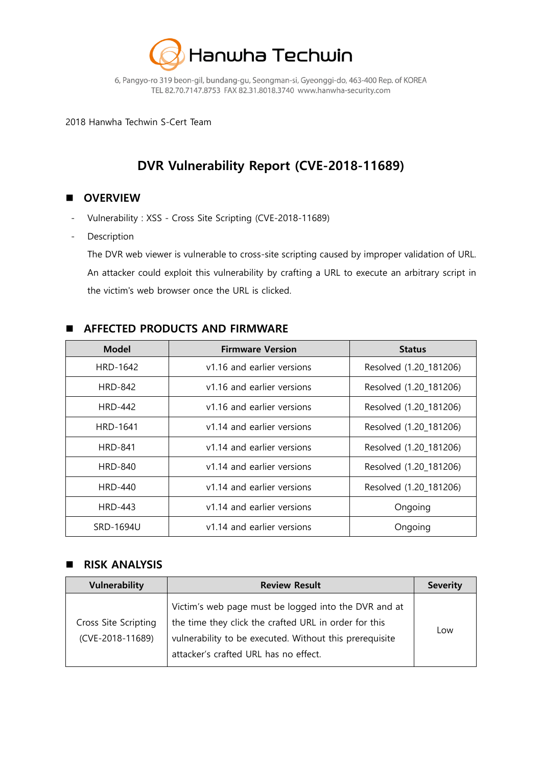

6, Pangyo-ro 319 beon-gil, bundang-gu, Seongman-si, Gyeonggi-do, 463-400 Rep. of KOREA TEL 82.70.7147.8753 FAX 82.31.8018.3740 www.hanwha-security.com

2018 Hanwha Techwin S-Cert Team

# **DVR Vulnerability Report (CVE-2018-11689)**

# **D** OVERVIEW

- Vulnerability : XSS Cross Site Scripting (CVE-2018-11689)
- Description

The DVR web viewer is vulnerable to cross-site scripting caused by improper validation of URL. An attacker could exploit this vulnerability by crafting a URL to execute an arbitrary script in the victim's web browser once the URL is clicked.

## **AFFECTED PRODUCTS AND FIRMWARE**

| <b>Model</b>    | <b>Firmware Version</b>    | <b>Status</b>          |  |
|-----------------|----------------------------|------------------------|--|
| <b>HRD-1642</b> | v1.16 and earlier versions | Resolved (1.20_181206) |  |
| <b>HRD-842</b>  | v1.16 and earlier versions | Resolved (1.20 181206) |  |
| <b>HRD-442</b>  | v1.16 and earlier versions | Resolved (1.20_181206) |  |
| <b>HRD-1641</b> | v1.14 and earlier versions | Resolved (1.20_181206) |  |
| <b>HRD-841</b>  | v1.14 and earlier versions | Resolved (1.20_181206) |  |
| <b>HRD-840</b>  | v1.14 and earlier versions | Resolved (1.20_181206) |  |
| <b>HRD-440</b>  | v1.14 and earlier versions | Resolved (1.20 181206) |  |
| <b>HRD-443</b>  | v1.14 and earlier versions | Ongoing                |  |
| SRD-1694U       | v1.14 and earlier versions | Ongoing                |  |

#### **RISK ANALYSIS**

| <b>Vulnerability</b>                     | <b>Review Result</b>                                                                                                                                                                                              | <b>Severity</b> |
|------------------------------------------|-------------------------------------------------------------------------------------------------------------------------------------------------------------------------------------------------------------------|-----------------|
| Cross Site Scripting<br>(CVE-2018-11689) | Victim's web page must be logged into the DVR and at<br>the time they click the crafted URL in order for this<br>vulnerability to be executed. Without this prerequisite<br>attacker's crafted URL has no effect. | Low             |